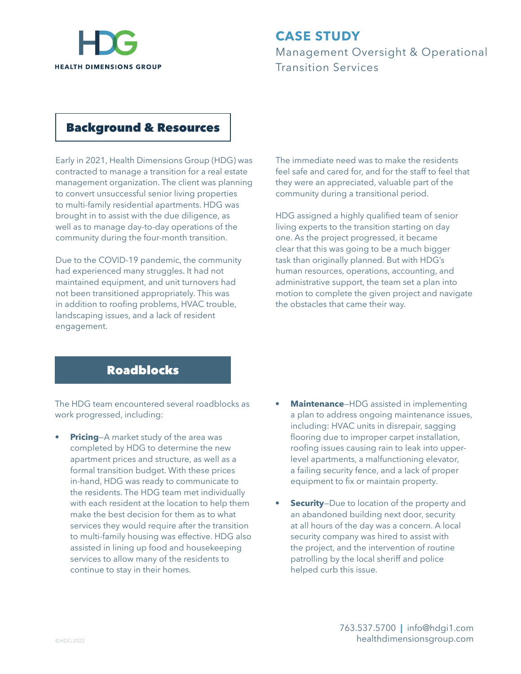

# **CASE STUDY** Management Oversight & Operational

Transition Services

#### Background & Resources

Early in 2021, Health Dimensions Group (HDG) was contracted to manage a transition for a real estate management organization. The client was planning to convert unsuccessful senior living properties to multi-family residential apartments. HDG was brought in to assist with the due diligence, as well as to manage day-to-day operations of the community during the four-month transition.

Due to the COVID-19 pandemic, the community had experienced many struggles. It had not maintained equipment, and unit turnovers had not been transitioned appropriately. This was in addition to roofing problems, HVAC trouble, landscaping issues, and a lack of resident engagement.

The immediate need was to make the residents feel safe and cared for, and for the staff to feel that they were an appreciated, valuable part of the community during a transitional period.

HDG assigned a highly qualified team of senior living experts to the transition starting on day one. As the project progressed, it became clear that this was going to be a much bigger task than originally planned. But with HDG's human resources, operations, accounting, and administrative support, the team set a plan into motion to complete the given project and navigate the obstacles that came their way.

### Roadblocks

The HDG team encountered several roadblocks as work progressed, including:

- **Pricing-A** market study of the area was completed by HDG to determine the new apartment prices and structure, as well as a formal transition budget. With these prices in-hand, HDG was ready to communicate to the residents. The HDG team met individually with each resident at the location to help them make the best decision for them as to what services they would require after the transition to multi-family housing was effective. HDG also assisted in lining up food and housekeeping services to allow many of the residents to continue to stay in their homes.
- **• Maintenance**—HDG assisted in implementing a plan to address ongoing maintenance issues, including: HVAC units in disrepair, sagging flooring due to improper carpet installation, roofing issues causing rain to leak into upperlevel apartments, a malfunctioning elevator, a failing security fence, and a lack of proper equipment to fix or maintain property.
- **Security**–Due to location of the property and an abandoned building next door, security at all hours of the day was a concern. A local security company was hired to assist with the project, and the intervention of routine patrolling by the local sheriff and police helped curb this issue.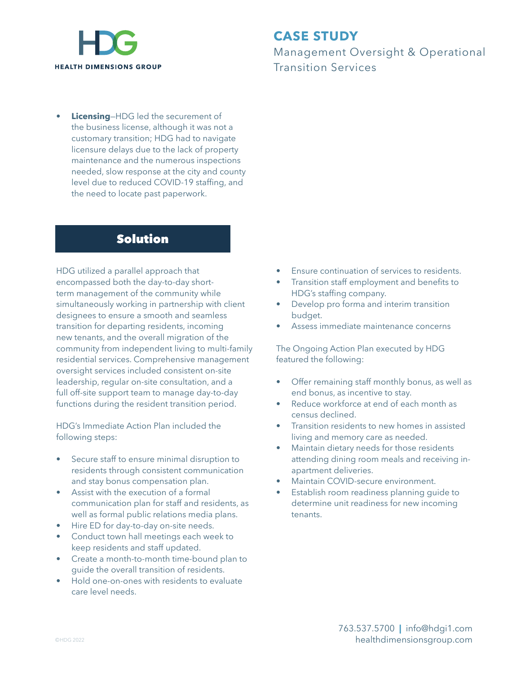

## **CASE STUDY**

Management Oversight & Operational Transition Services

**• Licensing**—HDG led the securement of the business license, although it was not a customary transition; HDG had to navigate licensure delays due to the lack of property maintenance and the numerous inspections needed, slow response at the city and county level due to reduced COVID-19 staffing, and the need to locate past paperwork.

#### Solution

HDG utilized a parallel approach that encompassed both the day-to-day shortterm management of the community while simultaneously working in partnership with client designees to ensure a smooth and seamless transition for departing residents, incoming new tenants, and the overall migration of the community from independent living to multi-family residential services. Comprehensive management oversight services included consistent on-site leadership, regular on-site consultation, and a full off-site support team to manage day-to-day functions during the resident transition period.

HDG's Immediate Action Plan included the following steps:

- Secure staff to ensure minimal disruption to residents through consistent communication and stay bonus compensation plan.
- Assist with the execution of a formal communication plan for staff and residents, as well as formal public relations media plans.
- Hire ED for day-to-day on-site needs.
- Conduct town hall meetings each week to keep residents and staff updated.
- Create a month-to-month time-bound plan to guide the overall transition of residents.
- Hold one-on-ones with residents to evaluate care level needs.
- Ensure continuation of services to residents.
- Transition staff employment and benefits to HDG's staffing company.
- Develop pro forma and interim transition budget.
- Assess immediate maintenance concerns

The Ongoing Action Plan executed by HDG featured the following:

- Offer remaining staff monthly bonus, as well as end bonus, as incentive to stay.
- Reduce workforce at end of each month as census declined.
- Transition residents to new homes in assisted living and memory care as needed.
- Maintain dietary needs for those residents attending dining room meals and receiving inapartment deliveries.
- Maintain COVID-secure environment.
- Establish room readiness planning quide to determine unit readiness for new incoming tenants.